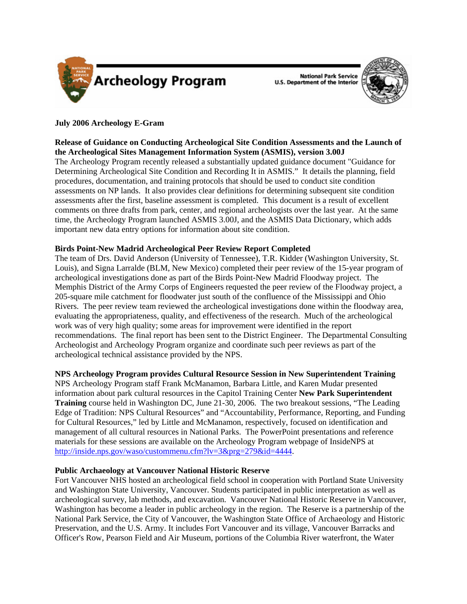

**National Park Service U.S. Department of the Interior** 



# **July 2006 Archeology E-Gram**

## **Release of Guidance on Conducting Archeological Site Condition Assessments and the Launch of the Archeological Sites Management Information System (ASMIS), version 3.00J**

The Archeology Program recently released a substantially updated guidance document "Guidance for Determining Archeological Site Condition and Recording It in ASMIS." It details the planning, field procedures, documentation, and training protocols that should be used to conduct site condition assessments on NP lands. It also provides clear definitions for determining subsequent site condition assessments after the first, baseline assessment is completed. This document is a result of excellent comments on three drafts from park, center, and regional archeologists over the last year. At the same time, the Archeology Program launched ASMIS 3.00J, and the ASMIS Data Dictionary, which adds important new data entry options for information about site condition.

## **Birds Point-New Madrid Archeological Peer Review Report Completed**

The team of Drs. David Anderson (University of Tennessee), T.R. Kidder (Washington University, St. Louis), and Signa Larralde (BLM, New Mexico) completed their peer review of the 15-year program of archeological investigations done as part of the Birds Point-New Madrid Floodway project. The Memphis District of the Army Corps of Engineers requested the peer review of the Floodway project, a 205-square mile catchment for floodwater just south of the confluence of the Mississippi and Ohio Rivers. The peer review team reviewed the archeological investigations done within the floodway area, evaluating the appropriateness, quality, and effectiveness of the research. Much of the archeological work was of very high quality; some areas for improvement were identified in the report recommendations. The final report has been sent to the District Engineer. The Departmental Consulting Archeologist and Archeology Program organize and coordinate such peer reviews as part of the archeological technical assistance provided by the NPS.

## **NPS Archeology Program provides Cultural Resource Session in New Superintendent Training**

NPS Archeology Program staff Frank McManamon, Barbara Little, and Karen Mudar presented information about park cultural resources in the Capitol Training Center **New Park Superintendent Training** course held in Washington DC, June 21-30, 2006. The two breakout sessions, "The Leading Edge of Tradition: NPS Cultural Resources" and "Accountability, Performance, Reporting, and Funding for Cultural Resources," led by Little and McManamon, respectively, focused on identification and management of all cultural resources in National Parks. The PowerPoint presentations and reference materials for these sessions are available on the Archeology Program webpage of InsideNPS at http://inside.nps.gov/waso/custommenu.cfm?lv=3&prg=279&id=4444.

#### **Public Archaeology at Vancouver National Historic Reserve**

Fort Vancouver NHS hosted an archeological field school in cooperation with Portland State University and Washington State University, Vancouver. Students participated in public interpretation as well as archeological survey, lab methods, and excavation. Vancouver National Historic Reserve in Vancouver, Washington has become a leader in public archeology in the region. The Reserve is a partnership of the National Park Service, the City of Vancouver, the Washington State Office of Archaeology and Historic Preservation, and the U.S. Army. It includes Fort Vancouver and its village, Vancouver Barracks and Officer's Row, Pearson Field and Air Museum, portions of the Columbia River waterfront, the Water